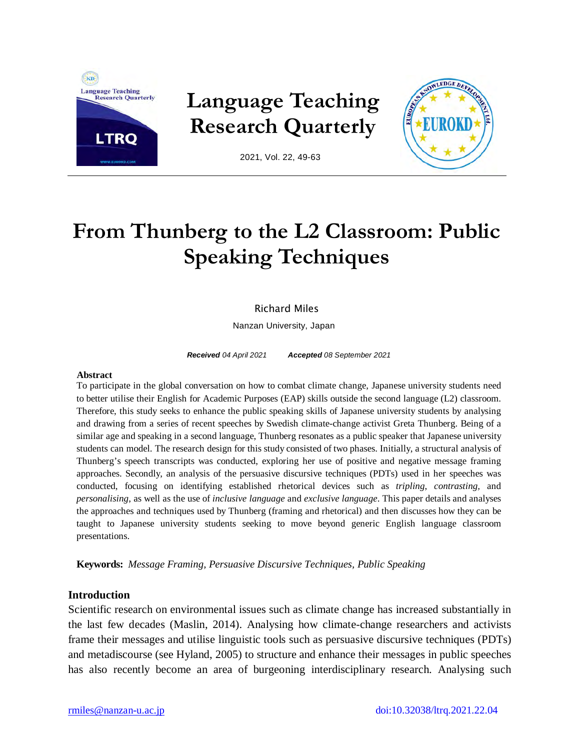

**Language Teaching Research Quarterly**



2021, Vol. 22, 49-63

# **From Thunberg to the L2 Classroom: Public Speaking Techniques**

# Richard Miles

Nanzan University, Japan

*Received 04 April 2021 Accepted 08 September 2021* 

#### **Abstract**

To participate in the global conversation on how to combat climate change, Japanese university students need to better utilise their English for Academic Purposes (EAP) skills outside the second language (L2) classroom. Therefore, this study seeks to enhance the public speaking skills of Japanese university students by analysing and drawing from a series of recent speeches by Swedish climate-change activist Greta Thunberg. Being of a similar age and speaking in a second language, Thunberg resonates as a public speaker that Japanese university students can model. The research design for this study consisted of two phases. Initially, a structural analysis of Thunberg's speech transcripts was conducted, exploring her use of positive and negative message framing approaches. Secondly, an analysis of the persuasive discursive techniques (PDTs) used in her speeches was conducted, focusing on identifying established rhetorical devices such as *tripling*, *contrasting,* and *personalising*, as well as the use of *inclusive language* and *exclusive language*. This paper details and analyses the approaches and techniques used by Thunberg (framing and rhetorical) and then discusses how they can be taught to Japanese university students seeking to move beyond generic English language classroom presentations.

**Keywords:** *Message Framing, Persuasive Discursive Techniques, Public Speaking*

# **Introduction**

Scientific research on environmental issues such as climate change has increased substantially in the last few decades (Maslin, 2014). Analysing how climate-change researchers and activists frame their messages and utilise linguistic tools such as persuasive discursive techniques (PDTs) and metadiscourse (see Hyland, 2005) to structure and enhance their messages in public speeches has also recently become an area of burgeoning interdisciplinary research. Analysing such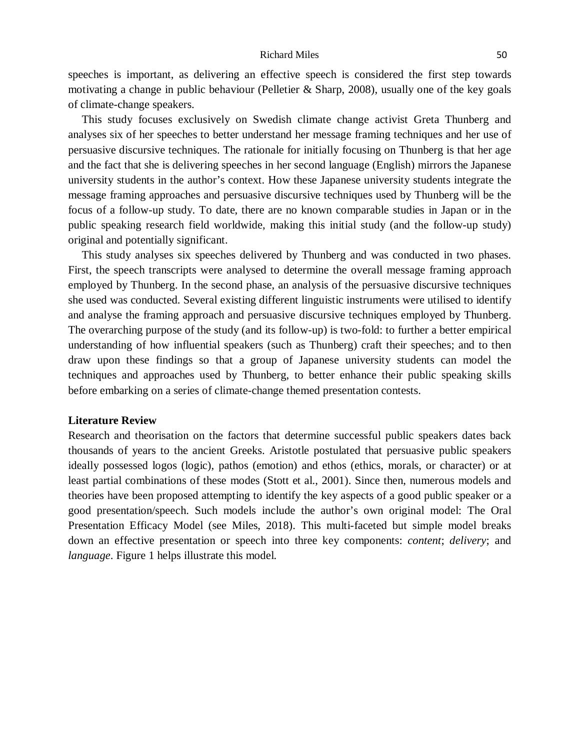speeches is important, as delivering an effective speech is considered the first step towards motivating a change in public behaviour (Pelletier & Sharp, 2008), usually one of the key goals of climate-change speakers.

This study focuses exclusively on Swedish climate change activist Greta Thunberg and analyses six of her speeches to better understand her message framing techniques and her use of persuasive discursive techniques. The rationale for initially focusing on Thunberg is that her age and the fact that she is delivering speeches in her second language (English) mirrors the Japanese university students in the author's context. How these Japanese university students integrate the message framing approaches and persuasive discursive techniques used by Thunberg will be the focus of a follow-up study. To date, there are no known comparable studies in Japan or in the public speaking research field worldwide, making this initial study (and the follow-up study) original and potentially significant.

This study analyses six speeches delivered by Thunberg and was conducted in two phases. First, the speech transcripts were analysed to determine the overall message framing approach employed by Thunberg. In the second phase, an analysis of the persuasive discursive techniques she used was conducted. Several existing different linguistic instruments were utilised to identify and analyse the framing approach and persuasive discursive techniques employed by Thunberg. The overarching purpose of the study (and its follow-up) is two-fold: to further a better empirical understanding of how influential speakers (such as Thunberg) craft their speeches; and to then draw upon these findings so that a group of Japanese university students can model the techniques and approaches used by Thunberg, to better enhance their public speaking skills before embarking on a series of climate-change themed presentation contests.

## **Literature Review**

Research and theorisation on the factors that determine successful public speakers dates back thousands of years to the ancient Greeks. Aristotle postulated that persuasive public speakers ideally possessed logos (logic), pathos (emotion) and ethos (ethics, morals, or character) or at least partial combinations of these modes (Stott et al., 2001). Since then, numerous models and theories have been proposed attempting to identify the key aspects of a good public speaker or a good presentation/speech. Such models include the author's own original model: The Oral Presentation Efficacy Model (see Miles, 2018). This multi-faceted but simple model breaks down an effective presentation or speech into three key components: *content*; *delivery*; and *language*. Figure 1 helps illustrate this model.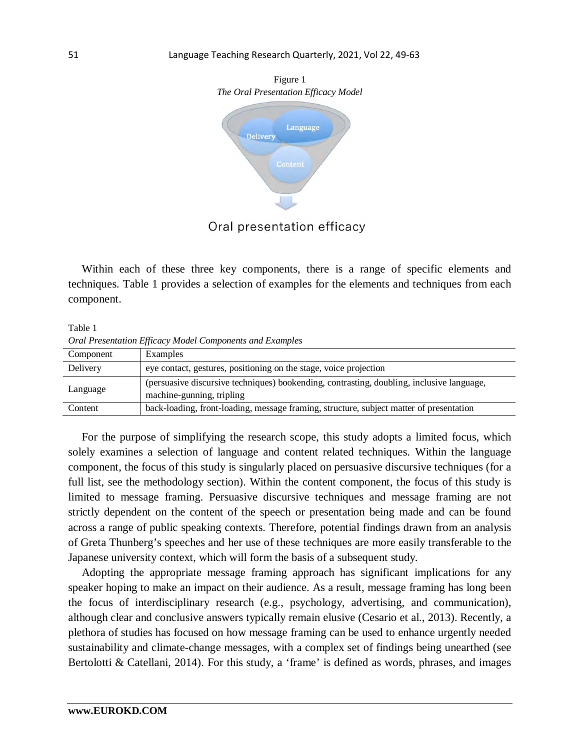

Oral presentation efficacy

Within each of these three key components, there is a range of specific elements and techniques. Table 1 provides a selection of examples for the elements and techniques from each component.

Table 1 *Oral Presentation Efficacy Model Components and Examples*

| Component | Examples                                                                                  |
|-----------|-------------------------------------------------------------------------------------------|
| Delivery  | eye contact, gestures, positioning on the stage, voice projection                         |
| Language  | (persuasive discursive techniques) bookending, contrasting, doubling, inclusive language, |
|           | machine-gunning, tripling                                                                 |
| Content   | back-loading, front-loading, message framing, structure, subject matter of presentation   |

For the purpose of simplifying the research scope, this study adopts a limited focus, which solely examines a selection of language and content related techniques. Within the language component, the focus of this study is singularly placed on persuasive discursive techniques (for a full list, see the methodology section). Within the content component, the focus of this study is limited to message framing. Persuasive discursive techniques and message framing are not strictly dependent on the content of the speech or presentation being made and can be found across a range of public speaking contexts. Therefore, potential findings drawn from an analysis of Greta Thunberg's speeches and her use of these techniques are more easily transferable to the Japanese university context, which will form the basis of a subsequent study.

Adopting the appropriate message framing approach has significant implications for any speaker hoping to make an impact on their audience. As a result, message framing has long been the focus of interdisciplinary research (e.g., psychology, advertising, and communication), although clear and conclusive answers typically remain elusive (Cesario et al., 2013). Recently, a plethora of studies has focused on how message framing can be used to enhance urgently needed sustainability and climate-change messages, with a complex set of findings being unearthed (see Bertolotti & Catellani, 2014). For this study, a 'frame' is defined as words, phrases, and images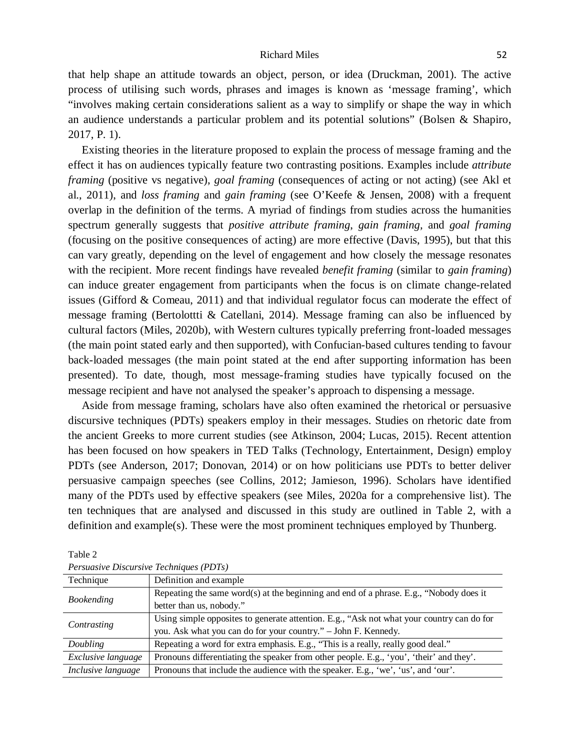that help shape an attitude towards an object, person, or idea (Druckman, 2001). The active process of utilising such words, phrases and images is known as 'message framing', which "involves making certain considerations salient as a way to simplify or shape the way in which an audience understands a particular problem and its potential solutions" (Bolsen & Shapiro, 2017, P. 1).

Existing theories in the literature proposed to explain the process of message framing and the effect it has on audiences typically feature two contrasting positions. Examples include *attribute framing* (positive vs negative), *goal framing* (consequences of acting or not acting) (see Akl et al., 2011), and *loss framing* and *gain framing* (see O'Keefe & Jensen, 2008) with a frequent overlap in the definition of the terms. A myriad of findings from studies across the humanities spectrum generally suggests that *positive attribute framing*, *gain framing,* and *goal framing* (focusing on the positive consequences of acting) are more effective (Davis, 1995), but that this can vary greatly, depending on the level of engagement and how closely the message resonates with the recipient. More recent findings have revealed *benefit framing* (similar to *gain framing*) can induce greater engagement from participants when the focus is on climate change-related issues (Gifford & Comeau, 2011) and that individual regulator focus can moderate the effect of message framing (Bertolottti & Catellani, 2014). Message framing can also be influenced by cultural factors (Miles, 2020b), with Western cultures typically preferring front-loaded messages (the main point stated early and then supported), with Confucian-based cultures tending to favour back-loaded messages (the main point stated at the end after supporting information has been presented). To date, though, most message-framing studies have typically focused on the message recipient and have not analysed the speaker's approach to dispensing a message.

Aside from message framing, scholars have also often examined the rhetorical or persuasive discursive techniques (PDTs) speakers employ in their messages. Studies on rhetoric date from the ancient Greeks to more current studies (see Atkinson, 2004; Lucas, 2015). Recent attention has been focused on how speakers in TED Talks (Technology, Entertainment, Design) employ PDTs (see Anderson, 2017; Donovan, 2014) or on how politicians use PDTs to better deliver persuasive campaign speeches (see Collins, 2012; Jamieson, 1996). Scholars have identified many of the PDTs used by effective speakers (see Miles, 2020a for a comprehensive list). The ten techniques that are analysed and discussed in this study are outlined in Table 2, with a definition and example(s). These were the most prominent techniques employed by Thunberg.

| T Crowworre Diocinorie Techniques (TDTS)                                                  |  |  |
|-------------------------------------------------------------------------------------------|--|--|
| Definition and example                                                                    |  |  |
| Repeating the same word(s) at the beginning and end of a phrase. E.g., "Nobody does it    |  |  |
| better than us, nobody."                                                                  |  |  |
| Using simple opposites to generate attention. E.g., "Ask not what your country can do for |  |  |
| you. Ask what you can do for your country." - John F. Kennedy.                            |  |  |
| Repeating a word for extra emphasis. E.g., "This is a really, really good deal."          |  |  |
| Pronouns differentiating the speaker from other people. E.g., 'you', 'their' and they'.   |  |  |
| Pronouns that include the audience with the speaker. E.g., 'we', 'us', and 'our'.         |  |  |
|                                                                                           |  |  |

Table 2 *Persuasive Discursive Techniques (PDTs)*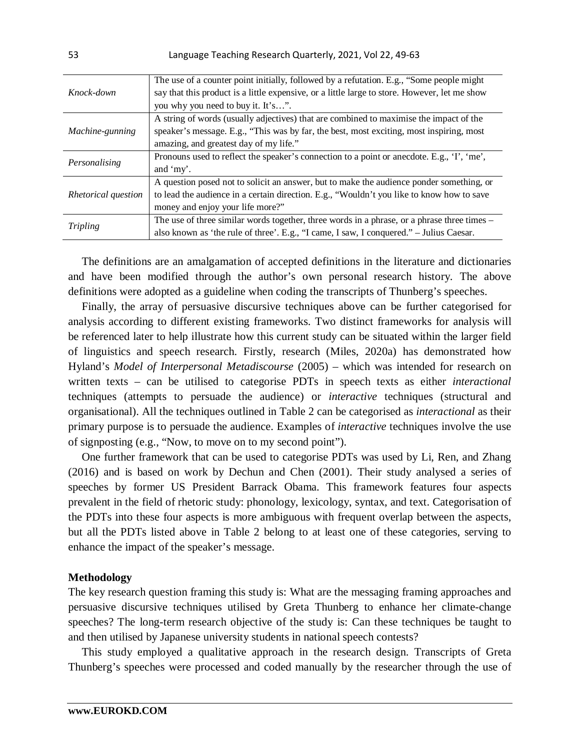|                     | The use of a counter point initially, followed by a refutation. E.g., "Some people might      |
|---------------------|-----------------------------------------------------------------------------------------------|
| Knock-down          | say that this product is a little expensive, or a little large to store. However, let me show |
|                     | you why you need to buy it. It's".                                                            |
|                     | A string of words (usually adjectives) that are combined to maximise the impact of the        |
| Machine-gunning     | speaker's message. E.g., "This was by far, the best, most exciting, most inspiring, most      |
|                     | amazing, and greatest day of my life."                                                        |
| Personalising       | Pronouns used to reflect the speaker's connection to a point or anecdote. E.g., 'I', 'me',    |
|                     | and 'my'.                                                                                     |
|                     | A question posed not to solicit an answer, but to make the audience ponder something, or      |
| Rhetorical question | to lead the audience in a certain direction. E.g., "Wouldn't you like to know how to save     |
|                     | money and enjoy your life more?"                                                              |
| Tripling            | The use of three similar words together, three words in a phrase, or a phrase three times –   |
|                     | also known as 'the rule of three'. E.g., "I came, I saw, I conquered." - Julius Caesar.       |

The definitions are an amalgamation of accepted definitions in the literature and dictionaries and have been modified through the author's own personal research history. The above definitions were adopted as a guideline when coding the transcripts of Thunberg's speeches.

Finally, the array of persuasive discursive techniques above can be further categorised for analysis according to different existing frameworks. Two distinct frameworks for analysis will be referenced later to help illustrate how this current study can be situated within the larger field of linguistics and speech research. Firstly, research (Miles, 2020a) has demonstrated how Hyland's *Model of Interpersonal Metadiscourse* (2005) – which was intended for research on written texts – can be utilised to categorise PDTs in speech texts as either *interactional* techniques (attempts to persuade the audience) or *interactive* techniques (structural and organisational). All the techniques outlined in Table 2 can be categorised as *interactional* as their primary purpose is to persuade the audience. Examples of *interactive* techniques involve the use of signposting (e.g., "Now, to move on to my second point").

One further framework that can be used to categorise PDTs was used by Li, Ren, and Zhang (2016) and is based on work by Dechun and Chen (2001). Their study analysed a series of speeches by former US President Barrack Obama. This framework features four aspects prevalent in the field of rhetoric study: phonology, lexicology, syntax, and text. Categorisation of the PDTs into these four aspects is more ambiguous with frequent overlap between the aspects, but all the PDTs listed above in Table 2 belong to at least one of these categories, serving to enhance the impact of the speaker's message.

## **Methodology**

The key research question framing this study is: What are the messaging framing approaches and persuasive discursive techniques utilised by Greta Thunberg to enhance her climate-change speeches? The long-term research objective of the study is: Can these techniques be taught to and then utilised by Japanese university students in national speech contests?

This study employed a qualitative approach in the research design. Transcripts of Greta Thunberg's speeches were processed and coded manually by the researcher through the use of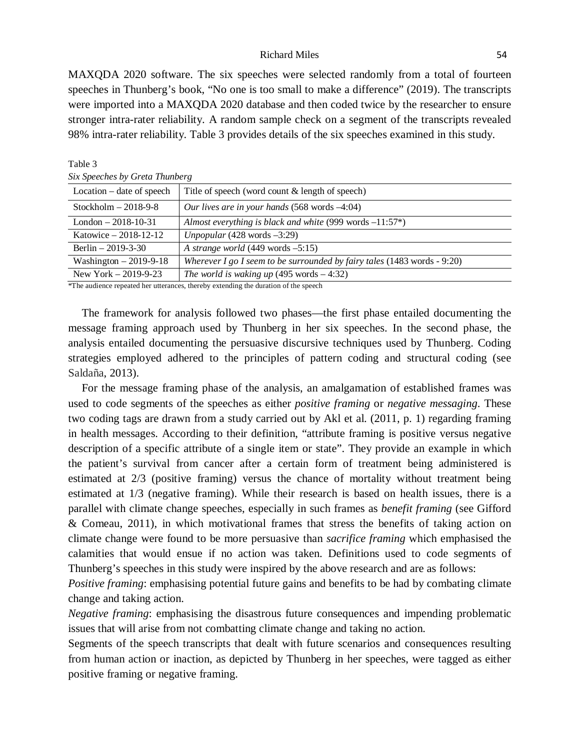MAXQDA 2020 software. The six speeches were selected randomly from a total of fourteen speeches in Thunberg's book, "No one is too small to make a difference" (2019). The transcripts were imported into a MAXQDA 2020 database and then coded twice by the researcher to ensure stronger intra-rater reliability. A random sample check on a segment of the transcripts revealed 98% intra-rater reliability. Table 3 provides details of the six speeches examined in this study.

| Location – date of speech | Title of speech (word count & length of speech)                                                                                                                                                                                   |
|---------------------------|-----------------------------------------------------------------------------------------------------------------------------------------------------------------------------------------------------------------------------------|
| Stockholm $-2018-9-8$     | Our lives are in your hands $(568 \text{ words } -4.04)$                                                                                                                                                                          |
| London $-2018-10-31$      | Almost everything is black and white $(999 \text{ words } -11:57^*)$                                                                                                                                                              |
| Katowice $-2018-12-12$    | Unpopular $(428 \text{ words } -3:29)$                                                                                                                                                                                            |
| Berlin $-2019-3-30$       | A strange world $(449 \text{ words } -5:15)$                                                                                                                                                                                      |
| Washington $-2019-9-18$   | Wherever I go I seem to be surrounded by fairy tales $(1483 \text{ words} - 9:20)$                                                                                                                                                |
| New York $-2019-9-23$     | The world is waking up $(495 \text{ words} - 4:32)$                                                                                                                                                                               |
|                           | $\mathbf{A}$ , and the state of the state of the state of the state of the state of the state of the state of the state of the state of the state of the state of the state of the state of the state of the state of the state o |

# *Six Speeches by Greta Thunberg*

Table 3

\*The audience repeated her utterances, thereby extending the duration of the speech

The framework for analysis followed two phases—the first phase entailed documenting the message framing approach used by Thunberg in her six speeches. In the second phase, the analysis entailed documenting the persuasive discursive techniques used by Thunberg. Coding strategies employed adhered to the principles of pattern coding and structural coding (see Saldaña, 2013).

For the message framing phase of the analysis, an amalgamation of established frames was used to code segments of the speeches as either *positive framing* or *negative messaging*. These two coding tags are drawn from a study carried out by Akl et al. (2011, p. 1) regarding framing in health messages. According to their definition, "attribute framing is positive versus negative description of a specific attribute of a single item or state". They provide an example in which the patient's survival from cancer after a certain form of treatment being administered is estimated at 2/3 (positive framing) versus the chance of mortality without treatment being estimated at 1/3 (negative framing). While their research is based on health issues, there is a parallel with climate change speeches, especially in such frames as *benefit framing* (see Gifford & Comeau, 2011), in which motivational frames that stress the benefits of taking action on climate change were found to be more persuasive than *sacrifice framing* which emphasised the calamities that would ensue if no action was taken. Definitions used to code segments of Thunberg's speeches in this study were inspired by the above research and are as follows:

*Positive framing*: emphasising potential future gains and benefits to be had by combating climate change and taking action.

*Negative framing*: emphasising the disastrous future consequences and impending problematic issues that will arise from not combatting climate change and taking no action.

Segments of the speech transcripts that dealt with future scenarios and consequences resulting from human action or inaction, as depicted by Thunberg in her speeches, were tagged as either positive framing or negative framing.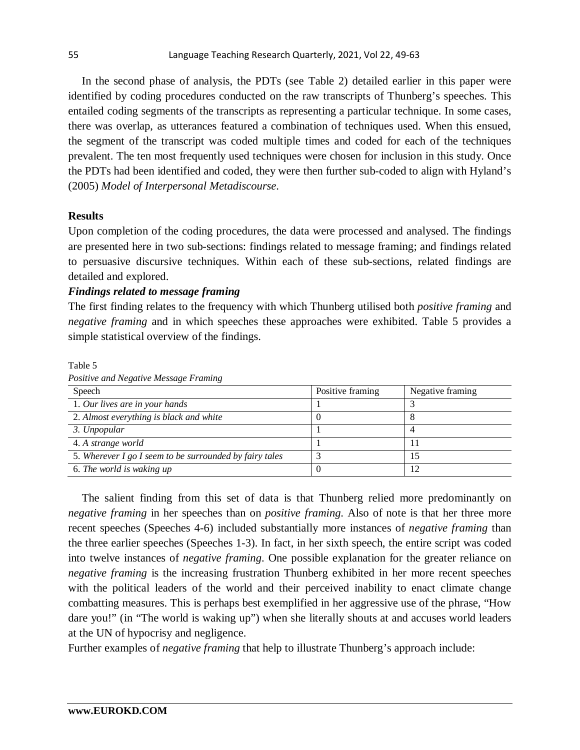In the second phase of analysis, the PDTs (see Table 2) detailed earlier in this paper were identified by coding procedures conducted on the raw transcripts of Thunberg's speeches. This entailed coding segments of the transcripts as representing a particular technique. In some cases, there was overlap, as utterances featured a combination of techniques used. When this ensued, the segment of the transcript was coded multiple times and coded for each of the techniques prevalent. The ten most frequently used techniques were chosen for inclusion in this study. Once the PDTs had been identified and coded, they were then further sub-coded to align with Hyland's (2005) *Model of Interpersonal Metadiscourse*.

# **Results**

Upon completion of the coding procedures, the data were processed and analysed. The findings are presented here in two sub-sections: findings related to message framing; and findings related to persuasive discursive techniques. Within each of these sub-sections, related findings are detailed and explored.

# *Findings related to message framing*

The first finding relates to the frequency with which Thunberg utilised both *positive framing* and *negative framing* and in which speeches these approaches were exhibited. Table 5 provides a simple statistical overview of the findings.

Speech **Positive framing** Negative framing Negative framing 1. *Our lives are in your hands* 1 3 2. *Almost everything is black and white* 0 8 *3. Unpopular* 1 4 4. *A strange world* 1 1 5. *Wherever I go I seem to be surrounded by fairy tales* 3 15 6. *The world is waking up* 0 12

Table 5

| Speech                                                  | Positive framing | Negative framing |
|---------------------------------------------------------|------------------|------------------|
| 1. Our lives are in your hands                          |                  |                  |
| 2. Almost everything is black and white                 |                  |                  |
| 3. Unpopular                                            |                  |                  |
| 4. A strange world                                      |                  |                  |
| 5. Wherever I go I seem to be surrounded by fairy tales |                  |                  |
| 6. The world is waking up                               |                  |                  |

*Positive and Negative Message Framing* 

The salient finding from this set of data is that Thunberg relied more predominantly on *negative framing* in her speeches than on *positive framing*. Also of note is that her three more recent speeches (Speeches 4-6) included substantially more instances of *negative framing* than the three earlier speeches (Speeches 1-3). In fact, in her sixth speech, the entire script was coded into twelve instances of *negative framing*. One possible explanation for the greater reliance on *negative framing* is the increasing frustration Thunberg exhibited in her more recent speeches with the political leaders of the world and their perceived inability to enact climate change combatting measures. This is perhaps best exemplified in her aggressive use of the phrase, "How dare you!" (in "The world is waking up") when she literally shouts at and accuses world leaders at the UN of hypocrisy and negligence.

Further examples of *negative framing* that help to illustrate Thunberg's approach include: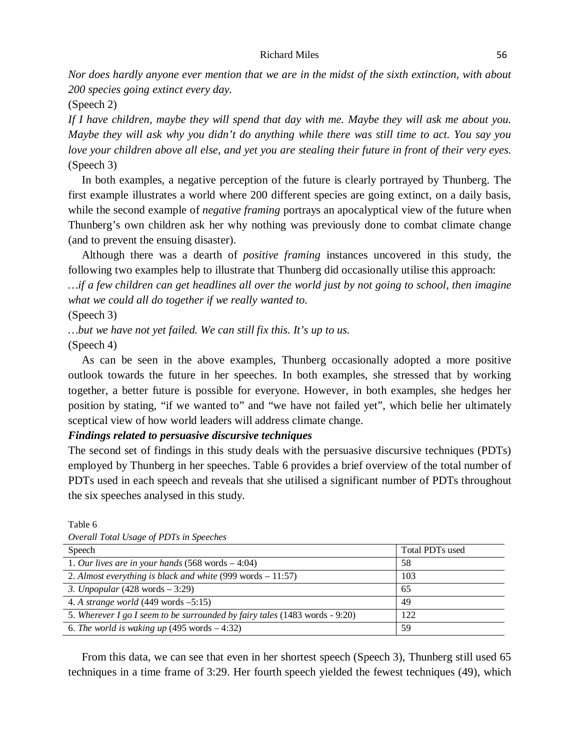*Nor does hardly anyone ever mention that we are in the midst of the sixth extinction, with about 200 species going extinct every day.* 

(Speech 2)

*If I have children, maybe they will spend that day with me. Maybe they will ask me about you. Maybe they will ask why you didn't do anything while there was still time to act. You say you love your children above all else, and yet you are stealing their future in front of their very eyes.*  (Speech 3)

In both examples, a negative perception of the future is clearly portrayed by Thunberg. The first example illustrates a world where 200 different species are going extinct, on a daily basis, while the second example of *negative framing* portrays an apocalyptical view of the future when Thunberg's own children ask her why nothing was previously done to combat climate change (and to prevent the ensuing disaster).

Although there was a dearth of *positive framing* instances uncovered in this study, the following two examples help to illustrate that Thunberg did occasionally utilise this approach:

*…if a few children can get headlines all over the world just by not going to school, then imagine what we could all do together if we really wanted to.*

(Speech 3)

*…but we have not yet failed. We can still fix this. It's up to us.* (Speech 4)

As can be seen in the above examples, Thunberg occasionally adopted a more positive outlook towards the future in her speeches. In both examples, she stressed that by working together, a better future is possible for everyone. However, in both examples, she hedges her position by stating, "if we wanted to" and "we have not failed yet", which belie her ultimately sceptical view of how world leaders will address climate change.

*Findings related to persuasive discursive techniques*

The second set of findings in this study deals with the persuasive discursive techniques (PDTs) employed by Thunberg in her speeches. Table 6 provides a brief overview of the total number of PDTs used in each speech and reveals that she utilised a significant number of PDTs throughout the six speeches analysed in this study.

| Overall Total Usage of PDTs in Speeches                                     |                 |
|-----------------------------------------------------------------------------|-----------------|
| Speech                                                                      | Total PDTs used |
| 1. Our lives are in your hands $(568 \text{ words} - 4.04)$                 | 58              |
| 2. Almost everything is black and white $(999 \text{ words} - 11:57)$       | 103             |
| 3. Unpopular $(428 \text{ words} - 3:29)$                                   | 65              |
| 4. A strange world $(449 \text{ words } -5:15)$                             | 49              |
| 5. Wherever I go I seem to be surrounded by fairy tales (1483 words - 9:20) | 122             |
| 6. The world is waking up $(495 \text{ words} - 4:32)$                      | 59              |

Table 6

From this data, we can see that even in her shortest speech (Speech 3), Thunberg still used 65 techniques in a time frame of 3:29. Her fourth speech yielded the fewest techniques (49), which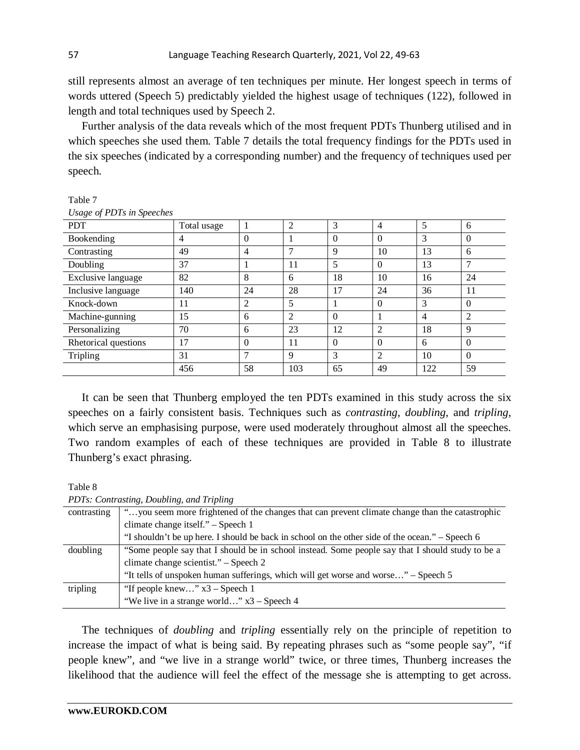still represents almost an average of ten techniques per minute. Her longest speech in terms of words uttered (Speech 5) predictably yielded the highest usage of techniques (122), followed in length and total techniques used by Speech 2.

Further analysis of the data reveals which of the most frequent PDTs Thunberg utilised and in which speeches she used them. Table 7 details the total frequency findings for the PDTs used in the six speeches (indicated by a corresponding number) and the frequency of techniques used per speech.

| Usuge <i>v</i> 1 D <sub>1</sub> s <i>in speeches</i> |             |                |                |          |                |                |                |
|------------------------------------------------------|-------------|----------------|----------------|----------|----------------|----------------|----------------|
| <b>PDT</b>                                           | Total usage |                | $\overline{2}$ | 3        | $\overline{4}$ | 5              | 6              |
| Bookending                                           | 4           | $\theta$       |                | $\Omega$ | $\Omega$       | 3              | $\Omega$       |
| Contrasting                                          | 49          | 4              | 7              | 9        | 10             | 13             | 6              |
| Doubling                                             | 37          |                | 11             | 5        | $\Omega$       | 13             | $\mathcal{I}$  |
| Exclusive language                                   | 82          | 8              | 6              | 18       | 10             | 16             | 24             |
| Inclusive language                                   | 140         | 24             | 28             | 17       | 24             | 36             | 11             |
| Knock-down                                           | 11          | $\overline{2}$ | 5              |          | $\Omega$       | 3              | $\Omega$       |
| Machine-gunning                                      | 15          | 6              | 2              | $\Omega$ |                | $\overline{4}$ | $\overline{2}$ |
| Personalizing                                        | 70          | 6              | 23             | 12       | $\overline{2}$ | 18             | $\mathbf{Q}$   |
| Rhetorical questions                                 | 17          | $\theta$       | 11             | $\Omega$ | $\Omega$       | 6              | $\Omega$       |
| Tripling                                             | 31          | ⇁              | 9              | 3        | $\overline{2}$ | 10             | $\Omega$       |
|                                                      | 456         | 58             | 103            | 65       | 49             | 122            | 59             |

Table 7 *Usage of PDTs in Speeches*

It can be seen that Thunberg employed the ten PDTs examined in this study across the six speeches on a fairly consistent basis. Techniques such as *contrasting*, *doubling*, and *tripling*, which serve an emphasising purpose, were used moderately throughout almost all the speeches. Two random examples of each of these techniques are provided in Table 8 to illustrate Thunberg's exact phrasing.

Table 8

| PDTs: Contrasting, Doubling, and Tripling |                                                                                                  |  |  |
|-------------------------------------------|--------------------------------------------------------------------------------------------------|--|--|
| contrasting                               | "you seem more frightened of the changes that can prevent climate change than the catastrophic   |  |  |
|                                           | climate change itself." - Speech 1                                                               |  |  |
|                                           | "I shouldn't be up here. I should be back in school on the other side of the ocean." – Speech 6  |  |  |
| doubling                                  | "Some people say that I should be in school instead. Some people say that I should study to be a |  |  |
|                                           | climate change scientist." – Speech 2                                                            |  |  |
|                                           | "It tells of unspoken human sufferings, which will get worse and worse" - Speech 5               |  |  |
| tripling                                  | "If people knew" $x3 -$ Speech 1                                                                 |  |  |
|                                           | "We live in a strange world" x3 – Speech 4                                                       |  |  |

The techniques of *doubling* and *tripling* essentially rely on the principle of repetition to increase the impact of what is being said. By repeating phrases such as "some people say", "if people knew", and "we live in a strange world" twice, or three times, Thunberg increases the likelihood that the audience will feel the effect of the message she is attempting to get across.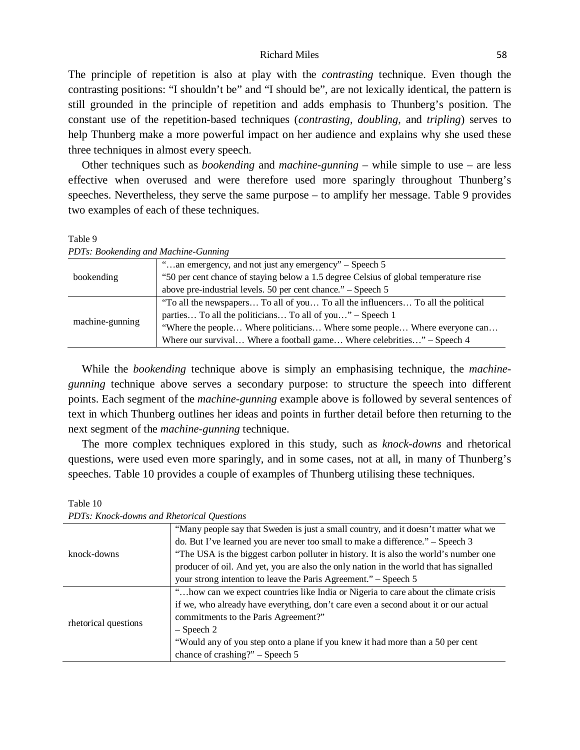The principle of repetition is also at play with the *contrasting* technique. Even though the contrasting positions: "I shouldn't be" and "I should be", are not lexically identical, the pattern is still grounded in the principle of repetition and adds emphasis to Thunberg's position. The constant use of the repetition-based techniques (*contrasting*, *doubling*, and *tripling*) serves to help Thunberg make a more powerful impact on her audience and explains why she used these three techniques in almost every speech.

Other techniques such as *bookending* and *machine-gunning* – while simple to use – are less effective when overused and were therefore used more sparingly throughout Thunberg's speeches. Nevertheless, they serve the same purpose – to amplify her message. Table 9 provides two examples of each of these techniques.

Table 9 *PDTs: Bookending and Machine-Gunning* 

|                 | "an emergency, and not just any emergency" – Speech 5                                |
|-----------------|--------------------------------------------------------------------------------------|
| bookending      | "50 per cent chance of staying below a 1.5 degree Celsius of global temperature rise |
|                 | above pre-industrial levels. 50 per cent chance." – Speech 5                         |
|                 | "To all the newspapers To all of you To all the influencers To all the political     |
|                 | parties To all the politicians To all of you" – Speech 1                             |
| machine-gunning | "Where the people Where politicians Where some people Where everyone can             |
|                 | Where our survival Where a football game Where celebrities" – Speech 4               |
|                 |                                                                                      |

While the *bookending* technique above is simply an emphasising technique, the *machinegunning* technique above serves a secondary purpose: to structure the speech into different points. Each segment of the *machine-gunning* example above is followed by several sentences of text in which Thunberg outlines her ideas and points in further detail before then returning to the next segment of the *machine-gunning* technique.

The more complex techniques explored in this study, such as *knock-downs* and rhetorical questions, were used even more sparingly, and in some cases, not at all, in many of Thunberg's speeches. Table 10 provides a couple of examples of Thunberg utilising these techniques.

| PD18. Knock-aowns and Rhetorical Ouestions |                                                                                        |  |
|--------------------------------------------|----------------------------------------------------------------------------------------|--|
|                                            | "Many people say that Sweden is just a small country, and it doesn't matter what we    |  |
|                                            | do. But I've learned you are never too small to make a difference." – Speech 3         |  |
| knock-downs                                | "The USA is the biggest carbon polluter in history. It is also the world's number one  |  |
|                                            | producer of oil. And yet, you are also the only nation in the world that has signalled |  |
|                                            | your strong intention to leave the Paris Agreement." – Speech 5                        |  |
|                                            | "how can we expect countries like India or Nigeria to care about the climate crisis    |  |
|                                            | if we, who already have everything, don't care even a second about it or our actual    |  |
|                                            | commitments to the Paris Agreement?"                                                   |  |
| rhetorical questions                       | $-$ Speech 2                                                                           |  |
|                                            | "Would any of you step onto a plane if you knew it had more than a 50 per cent         |  |
|                                            | chance of crashing?" $-$ Speech 5                                                      |  |

Table 10 *PDTs: Knock-downs and Rhetorical Questions*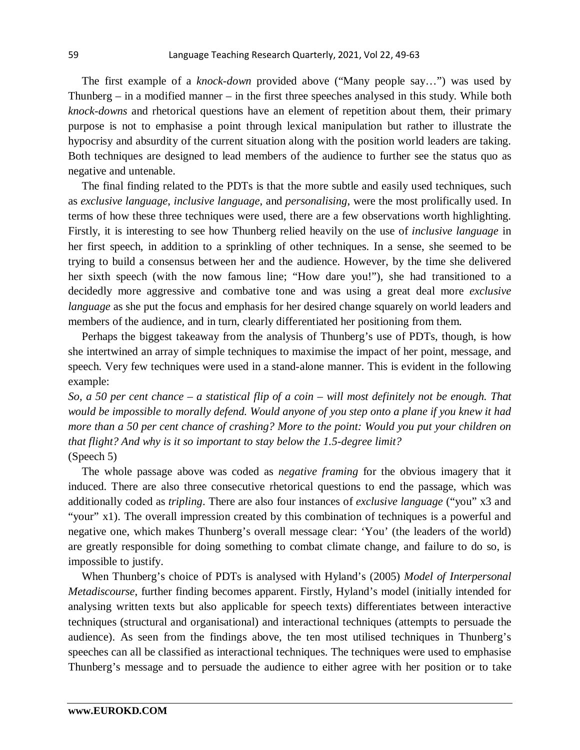The first example of a *knock-down* provided above ("Many people say…") was used by Thunberg – in a modified manner – in the first three speeches analysed in this study. While both *knock-downs* and rhetorical questions have an element of repetition about them, their primary purpose is not to emphasise a point through lexical manipulation but rather to illustrate the hypocrisy and absurdity of the current situation along with the position world leaders are taking. Both techniques are designed to lead members of the audience to further see the status quo as negative and untenable.

The final finding related to the PDTs is that the more subtle and easily used techniques, such as *exclusive language*, *inclusive language*, and *personalising*, were the most prolifically used. In terms of how these three techniques were used, there are a few observations worth highlighting. Firstly, it is interesting to see how Thunberg relied heavily on the use of *inclusive language* in her first speech, in addition to a sprinkling of other techniques. In a sense, she seemed to be trying to build a consensus between her and the audience. However, by the time she delivered her sixth speech (with the now famous line; "How dare you!"), she had transitioned to a decidedly more aggressive and combative tone and was using a great deal more *exclusive language* as she put the focus and emphasis for her desired change squarely on world leaders and members of the audience, and in turn, clearly differentiated her positioning from them.

Perhaps the biggest takeaway from the analysis of Thunberg's use of PDTs, though, is how she intertwined an array of simple techniques to maximise the impact of her point, message, and speech. Very few techniques were used in a stand-alone manner. This is evident in the following example:

*So, a 50 per cent chance – a statistical flip of a coin – will most definitely not be enough. That would be impossible to morally defend. Would anyone of you step onto a plane if you knew it had more than a 50 per cent chance of crashing? More to the point: Would you put your children on that flight? And why is it so important to stay below the 1.5-degree limit?* (Speech 5)

The whole passage above was coded as *negative framing* for the obvious imagery that it induced. There are also three consecutive rhetorical questions to end the passage, which was additionally coded as *tripling*. There are also four instances of *exclusive language* ("you" x3 and "your" x1). The overall impression created by this combination of techniques is a powerful and negative one, which makes Thunberg's overall message clear: 'You' (the leaders of the world) are greatly responsible for doing something to combat climate change, and failure to do so, is impossible to justify.

When Thunberg's choice of PDTs is analysed with Hyland's (2005) *Model of Interpersonal Metadiscourse*, further finding becomes apparent. Firstly, Hyland's model (initially intended for analysing written texts but also applicable for speech texts) differentiates between interactive techniques (structural and organisational) and interactional techniques (attempts to persuade the audience). As seen from the findings above, the ten most utilised techniques in Thunberg's speeches can all be classified as interactional techniques. The techniques were used to emphasise Thunberg's message and to persuade the audience to either agree with her position or to take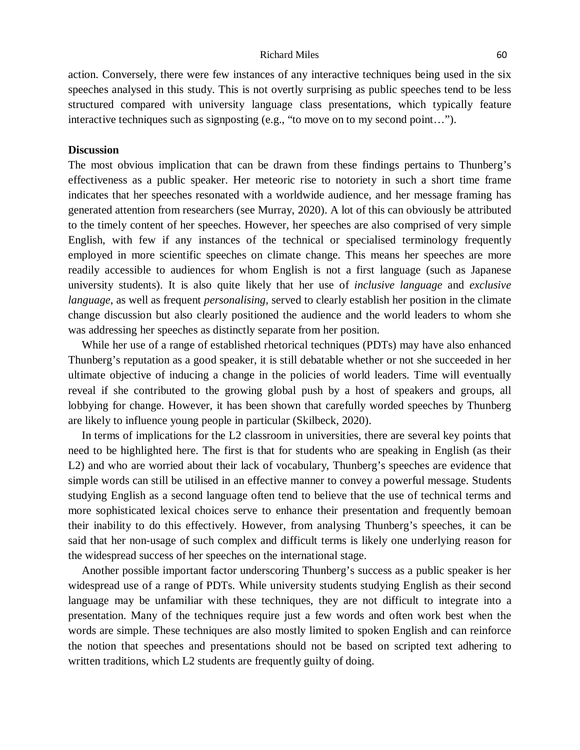action. Conversely, there were few instances of any interactive techniques being used in the six speeches analysed in this study. This is not overtly surprising as public speeches tend to be less structured compared with university language class presentations, which typically feature interactive techniques such as signposting (e.g., "to move on to my second point…").

# **Discussion**

The most obvious implication that can be drawn from these findings pertains to Thunberg's effectiveness as a public speaker. Her meteoric rise to notoriety in such a short time frame indicates that her speeches resonated with a worldwide audience, and her message framing has generated attention from researchers (see Murray, 2020). A lot of this can obviously be attributed to the timely content of her speeches. However, her speeches are also comprised of very simple English, with few if any instances of the technical or specialised terminology frequently employed in more scientific speeches on climate change. This means her speeches are more readily accessible to audiences for whom English is not a first language (such as Japanese university students). It is also quite likely that her use of *inclusive language* and *exclusive language*, as well as frequent *personalising,* served to clearly establish her position in the climate change discussion but also clearly positioned the audience and the world leaders to whom she was addressing her speeches as distinctly separate from her position.

While her use of a range of established rhetorical techniques (PDTs) may have also enhanced Thunberg's reputation as a good speaker, it is still debatable whether or not she succeeded in her ultimate objective of inducing a change in the policies of world leaders. Time will eventually reveal if she contributed to the growing global push by a host of speakers and groups, all lobbying for change. However, it has been shown that carefully worded speeches by Thunberg are likely to influence young people in particular (Skilbeck, 2020).

In terms of implications for the L2 classroom in universities, there are several key points that need to be highlighted here. The first is that for students who are speaking in English (as their L2) and who are worried about their lack of vocabulary, Thunberg's speeches are evidence that simple words can still be utilised in an effective manner to convey a powerful message. Students studying English as a second language often tend to believe that the use of technical terms and more sophisticated lexical choices serve to enhance their presentation and frequently bemoan their inability to do this effectively. However, from analysing Thunberg's speeches, it can be said that her non-usage of such complex and difficult terms is likely one underlying reason for the widespread success of her speeches on the international stage.

Another possible important factor underscoring Thunberg's success as a public speaker is her widespread use of a range of PDTs. While university students studying English as their second language may be unfamiliar with these techniques, they are not difficult to integrate into a presentation. Many of the techniques require just a few words and often work best when the words are simple. These techniques are also mostly limited to spoken English and can reinforce the notion that speeches and presentations should not be based on scripted text adhering to written traditions, which L2 students are frequently guilty of doing.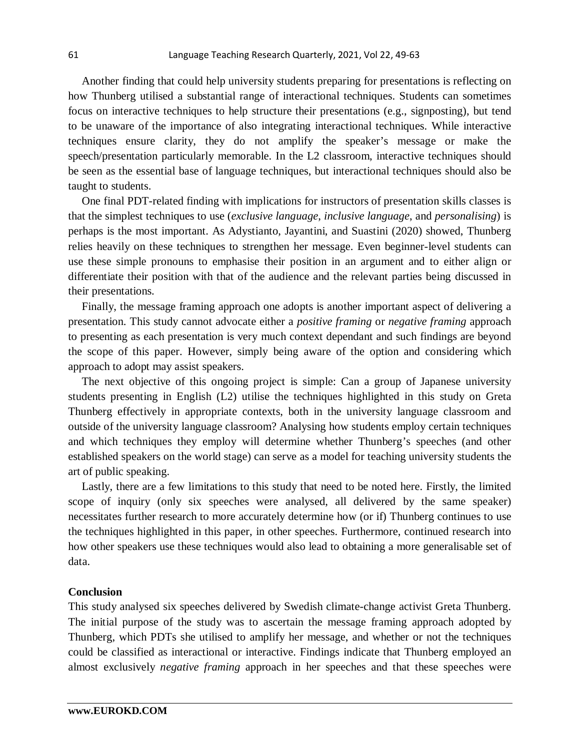Another finding that could help university students preparing for presentations is reflecting on how Thunberg utilised a substantial range of interactional techniques. Students can sometimes focus on interactive techniques to help structure their presentations (e.g., signposting), but tend to be unaware of the importance of also integrating interactional techniques. While interactive techniques ensure clarity, they do not amplify the speaker's message or make the speech/presentation particularly memorable. In the L2 classroom, interactive techniques should be seen as the essential base of language techniques, but interactional techniques should also be taught to students.

One final PDT-related finding with implications for instructors of presentation skills classes is that the simplest techniques to use (*exclusive language*, *inclusive language*, and *personalising*) is perhaps is the most important. As Adystianto, Jayantini, and Suastini (2020) showed, Thunberg relies heavily on these techniques to strengthen her message. Even beginner-level students can use these simple pronouns to emphasise their position in an argument and to either align or differentiate their position with that of the audience and the relevant parties being discussed in their presentations.

Finally, the message framing approach one adopts is another important aspect of delivering a presentation. This study cannot advocate either a *positive framing* or *negative framing* approach to presenting as each presentation is very much context dependant and such findings are beyond the scope of this paper. However, simply being aware of the option and considering which approach to adopt may assist speakers.

The next objective of this ongoing project is simple: Can a group of Japanese university students presenting in English (L2) utilise the techniques highlighted in this study on Greta Thunberg effectively in appropriate contexts, both in the university language classroom and outside of the university language classroom? Analysing how students employ certain techniques and which techniques they employ will determine whether Thunberg's speeches (and other established speakers on the world stage) can serve as a model for teaching university students the art of public speaking.

Lastly, there are a few limitations to this study that need to be noted here. Firstly, the limited scope of inquiry (only six speeches were analysed, all delivered by the same speaker) necessitates further research to more accurately determine how (or if) Thunberg continues to use the techniques highlighted in this paper, in other speeches. Furthermore, continued research into how other speakers use these techniques would also lead to obtaining a more generalisable set of data.

## **Conclusion**

This study analysed six speeches delivered by Swedish climate-change activist Greta Thunberg. The initial purpose of the study was to ascertain the message framing approach adopted by Thunberg, which PDTs she utilised to amplify her message, and whether or not the techniques could be classified as interactional or interactive. Findings indicate that Thunberg employed an almost exclusively *negative framing* approach in her speeches and that these speeches were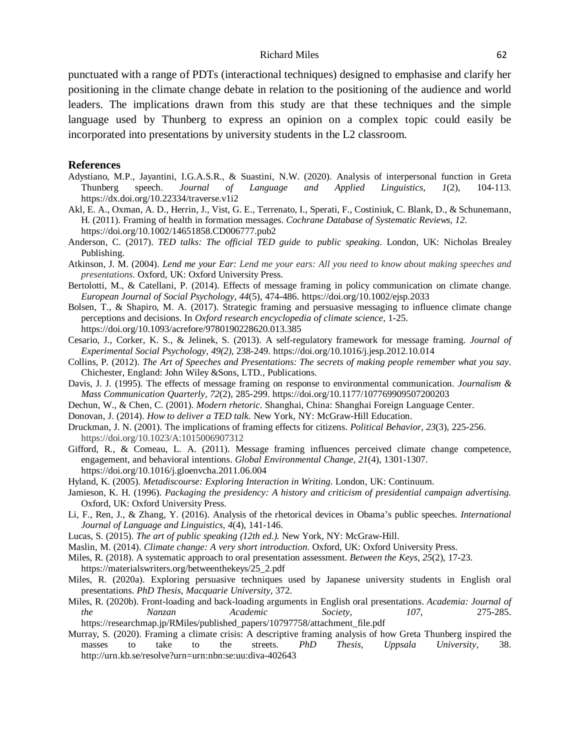punctuated with a range of PDTs (interactional techniques) designed to emphasise and clarify her positioning in the climate change debate in relation to the positioning of the audience and world leaders. The implications drawn from this study are that these techniques and the simple language used by Thunberg to express an opinion on a complex topic could easily be incorporated into presentations by university students in the L2 classroom.

#### **References**

- Adystiano, M.P., Jayantini, I.G.A.S.R., & Suastini, N.W. (2020). Analysis of interpersonal function in Greta Thunberg speech. *Journal of Language and Applied Linguistics, 1*(2), 104-113. <https://dx.doi.org/10.22334/traverse.v1i2>
- Akl, E. A., Oxman, A. D., Herrin, J., Vist, G. E., Terrenato, I., Sperati, F., Costiniuk, C. Blank, D., & Schunemann, H. (2011). Framing of health in formation messages. *Cochrane Database of Systematic Reviews, 12*. <https://doi.org/10.1002/14651858.CD006777.pub2>
- Anderson, C. (2017). *TED talks: The official TED guide to public speaking.* London, UK: Nicholas Brealey Publishing.
- Atkinson, J. M. (2004). *Lend me your Ear: Lend me your ears: All you need to know about making speeches and presentations*. Oxford, UK: Oxford University Press.
- Bertolotti, M., & Catellani, P. (2014). Effects of message framing in policy communication on climate change. *European Journal of Social Psychology, 44*(5), 474-486. <https://doi.org/10.1002/ejsp.2033>
- Bolsen, T., & Shapiro, M. A. (2017). Strategic framing and persuasive messaging to influence climate change perceptions and decisions. In *Oxford research encyclopedia of climate science,* 1-25. <https://doi.org/10.1093/acrefore/9780190228620.013.385>
- Cesario, J., Corker, K. S., & Jelinek, S. (2013). A self-regulatory framework for message framing. *Journal of Experimental Social Psychology, 49(2),* 238-249. <https://doi.org/10.1016/j.jesp.2012.10.014>
- Collins, P. (2012). *The Art of Speeches and Presentations: The secrets of making people remember what you say*. Chichester, England: John Wiley &Sons, LTD., Publications.
- Davis, J. J. (1995). The effects of message framing on response to environmental communication. *Journalism & Mass Communication Quarterly, 72*(2), 285-299. [https://doi.org/10.1177/107769909507200203](https://doi.org/10.1177%2F107769909507200203)
- Dechun, W., & Chen, C. (2001). *Modern rhetoric*. Shanghai, China: Shanghai Foreign Language Center.
- Donovan, J. (2014). *How to deliver a TED talk.* New York, NY: McGraw-Hill Education.
- Druckman, J. N. (2001). The implications of framing effects for citizens. *Political Behavior, 23*(3), 225-256. https://doi.org/10.1023/A:1015006907312
- Gifford, R., & Comeau, L. A. (2011). Message framing influences perceived climate change competence, engagement, and behavioral intentions. *Global Environmental Change, 21*(4), 1301-1307. <https://doi.org/10.1016/j.gloenvcha.2011.06.004>
- Hyland, K. (2005). *Metadiscourse: Exploring Interaction in Writing*. London, UK: Continuum.
- Jamieson, K. H. (1996). *Packaging the presidency: A history and criticism of presidential campaign advertising.*  Oxford, UK: Oxford University Press.
- Li, F., Ren, J., & Zhang, Y. (2016). Analysis of the rhetorical devices in Obama's public speeches. *International Journal of Language and Linguistics, 4*(4), 141-146.
- Lucas, S. (2015). *The art of public speaking (12th ed.).* New York, NY: McGraw-Hill.
- Maslin, M. (2014). *Climate change: A very short introduction*. Oxford, UK: Oxford University Press.
- Miles, R. (2018). A systematic approach to oral presentation assessment. *Between the Keys, 25*(2), 17-23. https://materialswriters.org/betweenthekeys/25\_2.pdf
- Miles, R. (2020a). Exploring persuasive techniques used by Japanese university students in English oral presentations. *PhD Thesis, Macquarie University,* 372.
- Miles, R. (2020b). Front-loading and back-loading arguments in English oral presentations. *Academia: Journal of the Nanzan Academic Society, 107,* 275-285. [https://researchmap.jp/RMiles/published\\_papers/10797758/attachment\\_file.pdf](https://researchmap.jp/RMiles/published_papers/10797758/attachment_file.pdf)
- Murray, S. (2020). Framing a climate crisis: A descriptive framing analysis of how Greta Thunberg inspired the masses to take to the streets. *PhD Thesis, Uppsala University*, 38. <http://urn.kb.se/resolve?urn=urn:nbn:se:uu:diva-402643>